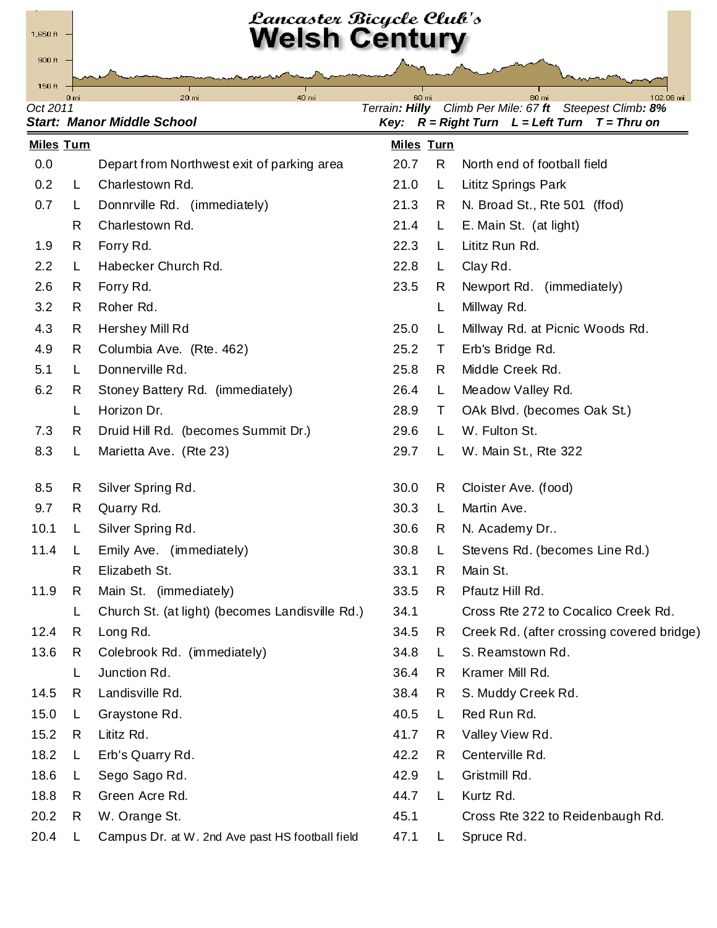

## *Lancaster Bicycle Club's*<br>Welsh Century

150 $ft$ 

**Oct 2011**<br>Oct 2011 *December 2011 Oct 2011*<br>*Oct 2011**Reserved Books of the Climb Per Mile: 67 ft* **Steepest Climb***: 8%***<br>***Key:**R* **= Right Turn L = Left Turn T = Thru on** *Start: Manor Middle School Key: R = Right Turn L = Left Turn T = Thru on*

|      | <b>Miles Turn</b> |                                                 |      | <b>Miles Turn</b> |                                           |
|------|-------------------|-------------------------------------------------|------|-------------------|-------------------------------------------|
| 0.0  |                   | Depart from Northwest exit of parking area      | 20.7 | R                 | North end of football field               |
| 0.2  | L                 | Charlestown Rd.                                 | 21.0 | L.                | Lititz Springs Park                       |
| 0.7  | L                 | Donnrville Rd. (immediately)                    | 21.3 | R                 | N. Broad St., Rte 501 (ffod)              |
|      | R                 | Charlestown Rd.                                 | 21.4 | L.                | E. Main St. (at light)                    |
| 1.9  | R                 | Forry Rd.                                       | 22.3 | L                 | Lititz Run Rd.                            |
| 2.2  | L                 | Habecker Church Rd.                             | 22.8 | L.                | Clay Rd.                                  |
| 2.6  | R.                | Forry Rd.                                       | 23.5 | R.                | Newport Rd. (immediately)                 |
| 3.2  | R                 | Roher Rd.                                       |      | L                 | Millway Rd.                               |
| 4.3  | R                 | Hershey Mill Rd                                 | 25.0 | L.                | Millway Rd. at Picnic Woods Rd.           |
| 4.9  | R                 | Columbia Ave. (Rte. 462)                        | 25.2 | T.                | Erb's Bridge Rd.                          |
| 5.1  | L                 | Donnerville Rd.                                 | 25.8 | R                 | Middle Creek Rd.                          |
| 6.2  | R.                | Stoney Battery Rd. (immediately)                | 26.4 | L.                | Meadow Valley Rd.                         |
|      | L                 | Horizon Dr.                                     | 28.9 | T.                | OAk Blvd. (becomes Oak St.)               |
| 7.3  | R                 | Druid Hill Rd. (becomes Summit Dr.)             | 29.6 | L.                | W. Fulton St.                             |
| 8.3  | L                 | Marietta Ave. (Rte 23)                          | 29.7 | L.                | W. Main St., Rte 322                      |
| 8.5  | R                 | Silver Spring Rd.                               | 30.0 | R.                | Cloister Ave. (food)                      |
| 9.7  | R                 | Quarry Rd.                                      | 30.3 | L.                | Martin Ave.                               |
| 10.1 | L                 | Silver Spring Rd.                               | 30.6 | R                 | N. Academy Dr                             |
| 11.4 | L.                | Emily Ave. (immediately)                        | 30.8 | L.                | Stevens Rd. (becomes Line Rd.)            |
|      | R                 | Elizabeth St.                                   | 33.1 | R                 | Main St.                                  |
| 11.9 | R                 | Main St. (immediately)                          | 33.5 | R                 | Pfautz Hill Rd.                           |
|      | L                 | Church St. (at light) (becomes Landisville Rd.) | 34.1 |                   | Cross Rte 272 to Cocalico Creek Rd.       |
| 12.4 | R                 | Long Rd.                                        | 34.5 | R                 | Creek Rd. (after crossing covered bridge) |
|      | 13.6 R            | Colebrook Rd. (immediately)                     | 34.8 | L,                | S. Reamstown Rd.                          |
|      | L                 | Junction Rd.                                    | 36.4 | R                 | Kramer Mill Rd.                           |
| 14.5 | R                 | Landisville Rd.                                 | 38.4 | R.                | S. Muddy Creek Rd.                        |
| 15.0 | L.                | Graystone Rd.                                   | 40.5 | L                 | Red Run Rd.                               |
| 15.2 | R                 | Lititz Rd.                                      | 41.7 | R.                | Valley View Rd.                           |
| 18.2 | L                 | Erb's Quarry Rd.                                | 42.2 | R.                | Centerville Rd.                           |
| 18.6 | L                 | Sego Sago Rd.                                   | 42.9 | L                 | Gristmill Rd.                             |
| 18.8 | R                 | Green Acre Rd.                                  | 44.7 | L                 | Kurtz Rd.                                 |
| 20.2 | R                 | W. Orange St.                                   | 45.1 |                   | Cross Rte 322 to Reidenbaugh Rd.          |
| 20.4 | L                 | Campus Dr. at W. 2nd Ave past HS football field | 47.1 | L.                | Spruce Rd.                                |
|      |                   |                                                 |      |                   |                                           |